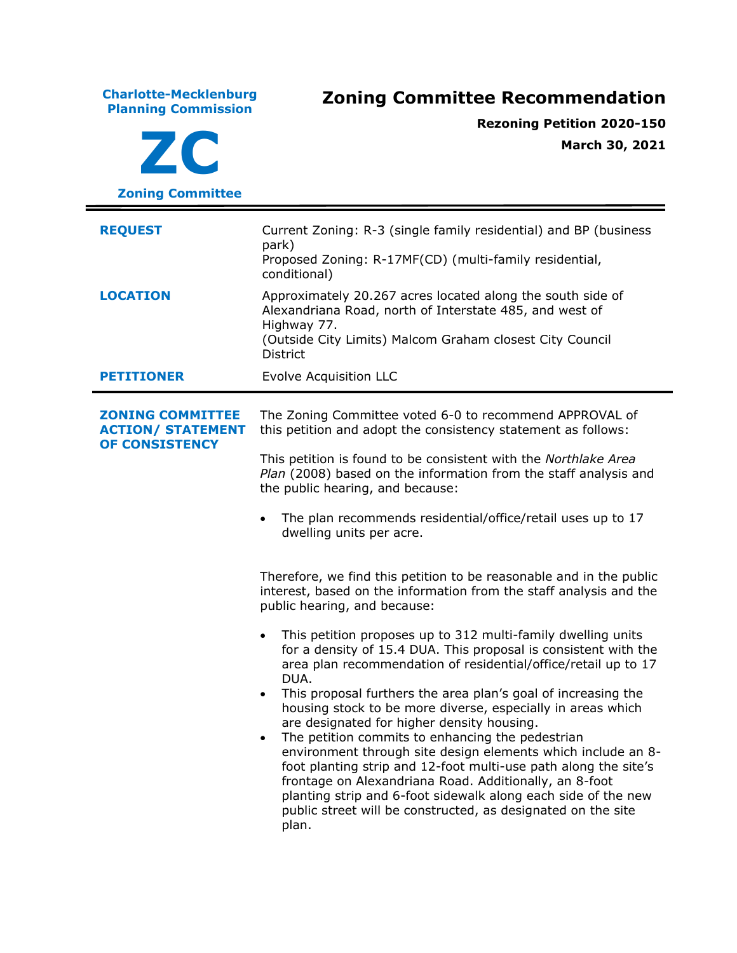**Charlotte-Mecklenburg Planning Commission Zoning Committee Recommendation ZC Zoning Committee Rezoning Petition 2020-150 March 30, 2021 REQUEST** Current Zoning: R-3 (single family residential) and BP (business park) Proposed Zoning: R-17MF(CD) (multi-family residential, conditional) **LOCATION** Approximately 20.267 acres located along the south side of Alexandriana Road, north of Interstate 485, and west of Highway 77. (Outside City Limits) Malcom Graham closest City Council **District PETITIONER** Evolve Acquisition LLC **ZONING COMMITTEE ACTION/ STATEMENT OF CONSISTENCY** The Zoning Committee voted 6-0 to recommend APPROVAL of this petition and adopt the consistency statement as follows: This petition is found to be consistent with the *Northlake Area Plan* (2008) based on the information from the staff analysis and the public hearing, and because: • The plan recommends residential/office/retail uses up to 17 dwelling units per acre. Therefore, we find this petition to be reasonable and in the public interest, based on the information from the staff analysis and the public hearing, and because: This petition proposes up to 312 multi-family dwelling units for a density of 15.4 DUA. This proposal is consistent with the area plan recommendation of residential/office/retail up to 17 DUA. • This proposal furthers the area plan's goal of increasing the housing stock to be more diverse, especially in areas which are designated for higher density housing. • The petition commits to enhancing the pedestrian environment through site design elements which include an 8 foot planting strip and 12-foot multi-use path along the site's frontage on Alexandriana Road. Additionally, an 8-foot planting strip and 6-foot sidewalk along each side of the new public street will be constructed, as designated on the site plan.